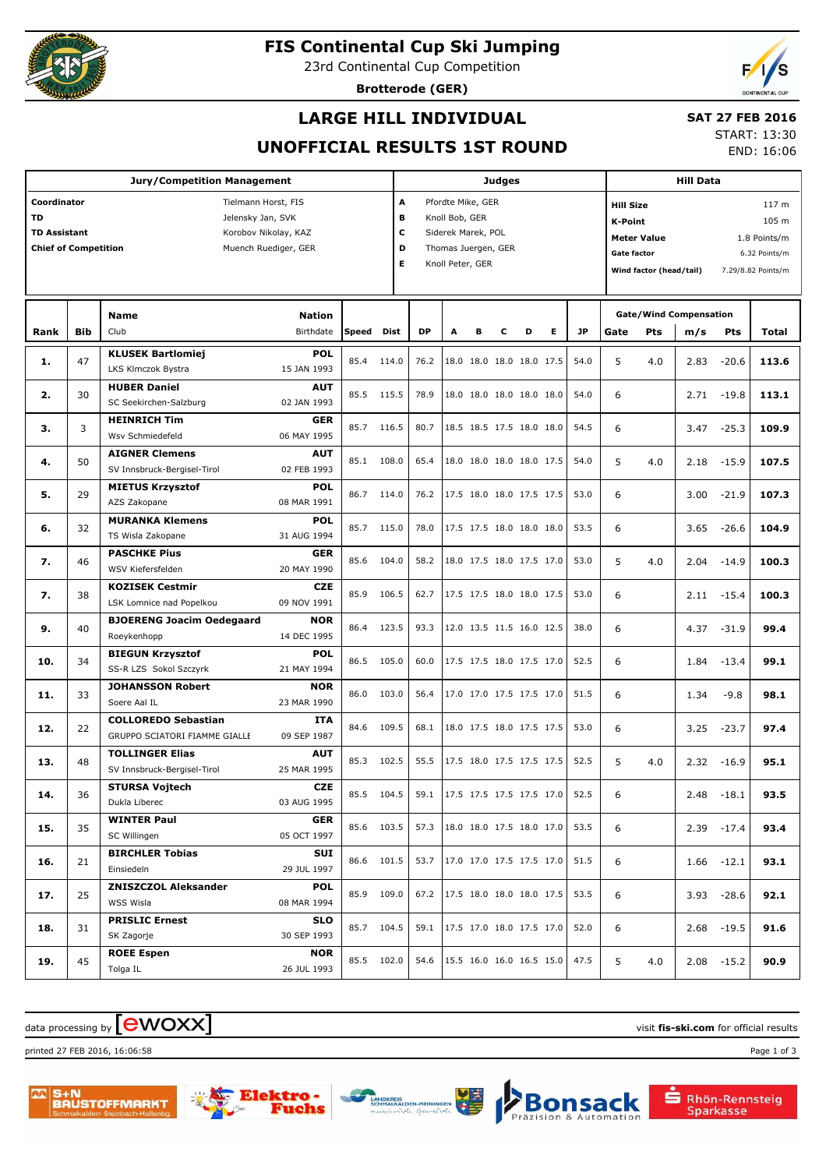

# **FIS Continental Cup Ski Jumping**

23rd Continental Cup Competition

**Brotterode (GER)**



## **LARGE HILL INDIVIDUAL**

# **SAT 27 FEB 2016**

**UNOFFICIAL RESULTS 1ST ROUND**

START: 13:30 END: 16:06

| <b>Jury/Competition Management</b>                  |            |                                         |                            |        |            |                        | <b>Judges</b>       |   |   |                                      |   |                  |                                      |                         | <b>Hill Data</b>              |               |                    |  |  |
|-----------------------------------------------------|------------|-----------------------------------------|----------------------------|--------|------------|------------------------|---------------------|---|---|--------------------------------------|---|------------------|--------------------------------------|-------------------------|-------------------------------|---------------|--------------------|--|--|
| Coordinator                                         |            |                                         | Tielmann Horst, FIS        |        |            | A<br>Pfordte Mike, GER |                     |   |   |                                      |   |                  | <b>Hill Size</b><br>117 <sub>m</sub> |                         |                               |               |                    |  |  |
| <b>TD</b>                                           |            | Jelensky Jan, SVK                       |                            |        |            | в<br>Knoll Bob, GER    |                     |   |   |                                      |   | 105 m<br>K-Point |                                      |                         |                               |               |                    |  |  |
| c<br><b>TD Assistant</b><br>Korobov Nikolay, KAZ    |            |                                         |                            |        |            |                        | Siderek Marek, POL  |   |   |                                      |   |                  | <b>Meter Value</b><br>1.8 Points/m   |                         |                               |               |                    |  |  |
| <b>Chief of Competition</b><br>Muench Ruediger, GER |            |                                         |                            |        | D          |                        | Thomas Juergen, GER |   |   |                                      |   |                  | <b>Gate factor</b><br>6.32 Points/m  |                         |                               |               |                    |  |  |
|                                                     |            |                                         |                            |        |            |                        | Knoll Peter, GER    |   |   |                                      |   |                  |                                      | Wind factor (head/tail) |                               |               | 7.29/8.82 Points/m |  |  |
|                                                     |            |                                         |                            |        |            |                        |                     |   |   |                                      |   |                  |                                      |                         |                               |               |                    |  |  |
|                                                     |            |                                         |                            |        |            |                        |                     |   |   |                                      |   |                  |                                      |                         |                               |               |                    |  |  |
|                                                     |            | <b>Name</b>                             | <b>Nation</b><br>Birthdate | lSpeed |            | <b>DP</b>              |                     |   |   |                                      |   | <b>JP</b>        |                                      |                         | <b>Gate/Wind Compensation</b> |               |                    |  |  |
| Rank                                                | <b>Bib</b> | Club                                    |                            |        | Dist       |                        | A                   | в | с | D                                    | Е |                  | Gate                                 | Pts                     | m/s                           | Pts           | Total              |  |  |
| 1.                                                  | 47         | <b>KLUSEK Bartlomiej</b>                | POL                        | 85.4   | 114.0      | 76.2                   |                     |   |   | 18.0 18.0 18.0 18.0 17.5             |   | 54.0             | 5                                    | 4.0                     | 2.83                          | $-20.6$       | 113.6              |  |  |
|                                                     |            | LKS Klmczok Bystra                      | 15 JAN 1993                |        |            |                        |                     |   |   |                                      |   |                  |                                      |                         |                               |               |                    |  |  |
| 2.                                                  | 30         | <b>HUBER Daniel</b>                     | <b>AUT</b>                 | 85.5   | 115.5      | 78.9                   |                     |   |   | 18.0 18.0 18.0 18.0 18.0             |   | 54.0             | 6                                    |                         | 2.71                          | -19.8         | 113.1              |  |  |
|                                                     |            | SC Seekirchen-Salzburg                  | 02 JAN 1993                |        |            |                        |                     |   |   |                                      |   |                  |                                      |                         |                               |               |                    |  |  |
| з.                                                  | 3          | <b>HEINRICH Tim</b><br>Wsv Schmiedefeld | <b>GER</b><br>06 MAY 1995  | 85.7   | 116.5      | 80.7                   |                     |   |   | 18.5 18.5 17.5 18.0 18.0             |   | 54.5             | 6                                    |                         | 3.47                          | $-25.3$       | 109.9              |  |  |
|                                                     |            | <b>AIGNER Clemens</b>                   | <b>AUT</b>                 |        |            |                        |                     |   |   |                                      |   |                  |                                      |                         |                               |               |                    |  |  |
| 4.                                                  | 50         | SV Innsbruck-Bergisel-Tirol             | 02 FEB 1993                | 85.1   | 108.0      | 65.4                   |                     |   |   | 18.0 18.0 18.0 18.0 17.5             |   | 54.0             | 5                                    | 4.0                     | 2.18                          | $-15.9$       | 107.5              |  |  |
|                                                     |            | <b>MIETUS Krzysztof</b>                 | POL                        |        |            |                        |                     |   |   |                                      |   |                  |                                      |                         |                               |               |                    |  |  |
| 5.                                                  | 29         | AZS Zakopane                            | 08 MAR 1991                | 86.7   | 114.0      | 76.2                   |                     |   |   | 17.5 18.0 18.0 17.5 17.5             |   | 53.0             | 6                                    |                         | 3.00                          | $-21.9$       | 107.3              |  |  |
|                                                     |            | <b>MURANKA Klemens</b>                  | POL                        |        |            |                        |                     |   |   |                                      |   |                  |                                      |                         |                               |               |                    |  |  |
| 6.                                                  | 32         | TS Wisla Zakopane                       | 31 AUG 1994                | 85.7   | 115.0      | 78.0                   |                     |   |   | 17.5 17.5 18.0 18.0 18.0             |   | 53.5             | 6                                    |                         | 3.65                          | $-26.6$       | 104.9              |  |  |
|                                                     |            | <b>PASCHKE Pius</b>                     | GER                        |        |            |                        |                     |   |   |                                      |   |                  |                                      |                         |                               |               |                    |  |  |
| 7.                                                  | 46         | WSV Kiefersfelden                       | 20 MAY 1990                | 85.6   | 104.0      | 58.2                   |                     |   |   | 18.0 17.5 18.0 17.5 17.0             |   | 53.0             | 5                                    | 4.0                     | 2.04                          | $-14.9$       | 100.3              |  |  |
|                                                     |            | <b>KOZISEK Cestmir</b>                  | <b>CZE</b>                 |        |            |                        |                     |   |   |                                      |   |                  |                                      |                         |                               |               |                    |  |  |
| 7.                                                  | 38         | LSK Lomnice nad Popelkou                | 09 NOV 1991                | 85.9   | 106.5      | 62.7                   |                     |   |   | 17.5 17.5 18.0 18.0 17.5             |   | 53.0             | 6                                    |                         |                               | $2.11 - 15.4$ | 100.3              |  |  |
|                                                     |            | <b>BJOERENG Joacim Oedegaard</b>        | <b>NOR</b>                 |        |            |                        |                     |   |   |                                      |   |                  |                                      |                         |                               |               |                    |  |  |
| 9.                                                  | 40         | Roeykenhopp                             | 14 DEC 1995                | 86.4   | 123.5      | 93.3                   |                     |   |   | 12.0 13.5 11.5 16.0 12.5             |   | 38.0             | 6                                    |                         | 4.37                          | $-31.9$       | 99.4               |  |  |
|                                                     |            | <b>BIEGUN Krzysztof</b>                 | POL                        | 86.5   | 105.0      | 60.0                   |                     |   |   | 17.5 17.5 18.0 17.5 17.0             |   | 52.5             |                                      |                         |                               |               |                    |  |  |
| 10.                                                 | 34         | SS-R LZS Sokol Szczyrk                  | 21 MAY 1994                |        |            |                        |                     |   |   |                                      |   |                  | 6                                    |                         | 1.84                          | $-13.4$       | 99.1               |  |  |
| 11.                                                 | 33         | <b>JOHANSSON Robert</b>                 | <b>NOR</b>                 | 86.0   | 103.0      | 56.4                   |                     |   |   | 17.0 17.0 17.5 17.5 17.0             |   | 51.5             | 6                                    |                         | 1.34                          | $-9.8$        | 98.1               |  |  |
|                                                     |            | Soere Aal IL                            | 23 MAR 1990                |        |            |                        |                     |   |   |                                      |   |                  |                                      |                         |                               |               |                    |  |  |
| 12.                                                 | 22         | <b>COLLOREDO Sebastian</b>              | ITA                        | 84.6   | 109.5      | 68.1                   |                     |   |   | 18.0 17.5 18.0 17.5 17.5             |   | 53.0             | 6                                    |                         | 3.25                          | $-23.7$       | 97.4               |  |  |
|                                                     |            | <b>GRUPPO SCIATORI FIAMME GIALLE</b>    | 09 SEP 1987                |        |            |                        |                     |   |   |                                      |   |                  |                                      |                         |                               |               |                    |  |  |
| 13.                                                 | 48         | <b>TOLLINGER Elias</b>                  | <b>AUT</b>                 | 85.3   | 102.5      | 55.5                   |                     |   |   | 17.5 18.0 17.5 17.5 17.5             |   | 52.5             | 5                                    | 4.0                     | 2.32                          | $-16.9$       | 95.1               |  |  |
|                                                     |            | SV Innsbruck-Bergisel-Tirol             | 25 MAR 1995                |        |            |                        |                     |   |   |                                      |   |                  |                                      |                         |                               |               |                    |  |  |
| 14.                                                 | 36         | <b>STURSA Vojtech</b>                   | <b>CZE</b>                 |        | 85.5 104.5 |                        |                     |   |   | 59.1   17.5 17.5 17.5 17.5 17.0      |   | 52.5             | 6                                    |                         |                               | 2.48 -18.1    | 93.5               |  |  |
|                                                     |            | Dukla Liberec                           | 03 AUG 1995                |        |            |                        |                     |   |   |                                      |   |                  |                                      |                         |                               |               |                    |  |  |
| 15.                                                 | 35         | <b>WINTER Paul</b>                      | <b>GER</b>                 |        | 85.6 103.5 | 57.3                   |                     |   |   | 18.0 18.0 17.5 18.0 17.0             |   | 53.5             | 6                                    |                         |                               | $2.39 - 17.4$ | 93.4               |  |  |
|                                                     |            | SC Willingen                            | 05 OCT 1997                |        |            |                        |                     |   |   |                                      |   |                  |                                      |                         |                               |               |                    |  |  |
| 16.                                                 | 21         | <b>BIRCHLER Tobias</b>                  | SUI                        |        | 86.6 101.5 | 53.7                   |                     |   |   | 17.0 17.0 17.5 17.5 17.0             |   | 51.5             | 6                                    |                         |                               | $1.66 - 12.1$ | 93.1               |  |  |
|                                                     |            | Einsiedeln                              | 29 JUL 1997                |        |            |                        |                     |   |   |                                      |   |                  |                                      |                         |                               |               |                    |  |  |
| 17.                                                 | 25         | <b>ZNISZCZOL Aleksander</b>             | POL                        |        | 85.9 109.0 | 67.2                   |                     |   |   | $ 17.5 \t18.0 \t18.0 \t18.0 \t17.5 $ |   | 53.5             | 6                                    |                         |                               | $3.93 - 28.6$ | 92.1               |  |  |
|                                                     |            | WSS Wisla                               | 08 MAR 1994                |        |            |                        |                     |   |   |                                      |   |                  |                                      |                         |                               |               |                    |  |  |
| 18.                                                 | 31         | <b>PRISLIC Ernest</b>                   | SLO                        |        | 85.7 104.5 | 59.1                   |                     |   |   | 17.5 17.0 18.0 17.5 17.0             |   | 52.0             | 6                                    |                         |                               | $2.68 - 19.5$ | 91.6               |  |  |
|                                                     |            | SK Zagorje                              | 30 SEP 1993                |        |            |                        |                     |   |   |                                      |   |                  |                                      |                         |                               |               |                    |  |  |
| 19.                                                 | 45         | <b>ROEE Espen</b>                       | NOR                        |        | 85.5 102.0 |                        |                     |   |   | 54.6 15.5 16.0 16.0 16.5 15.0        |   | 47.5             | 5                                    | 4.0                     |                               | $2.08 - 15.2$ | 90.9               |  |  |
|                                                     |            | Tolga IL                                | 26 JUL 1993                |        |            |                        |                     |   |   |                                      |   |                  |                                      |                         |                               |               |                    |  |  |

 $\frac{1}{2}$  data processing by  $\boxed{\text{ewOX}}$ 

printed 27 FEB 2016, 16:06:58 Page 1 of 3







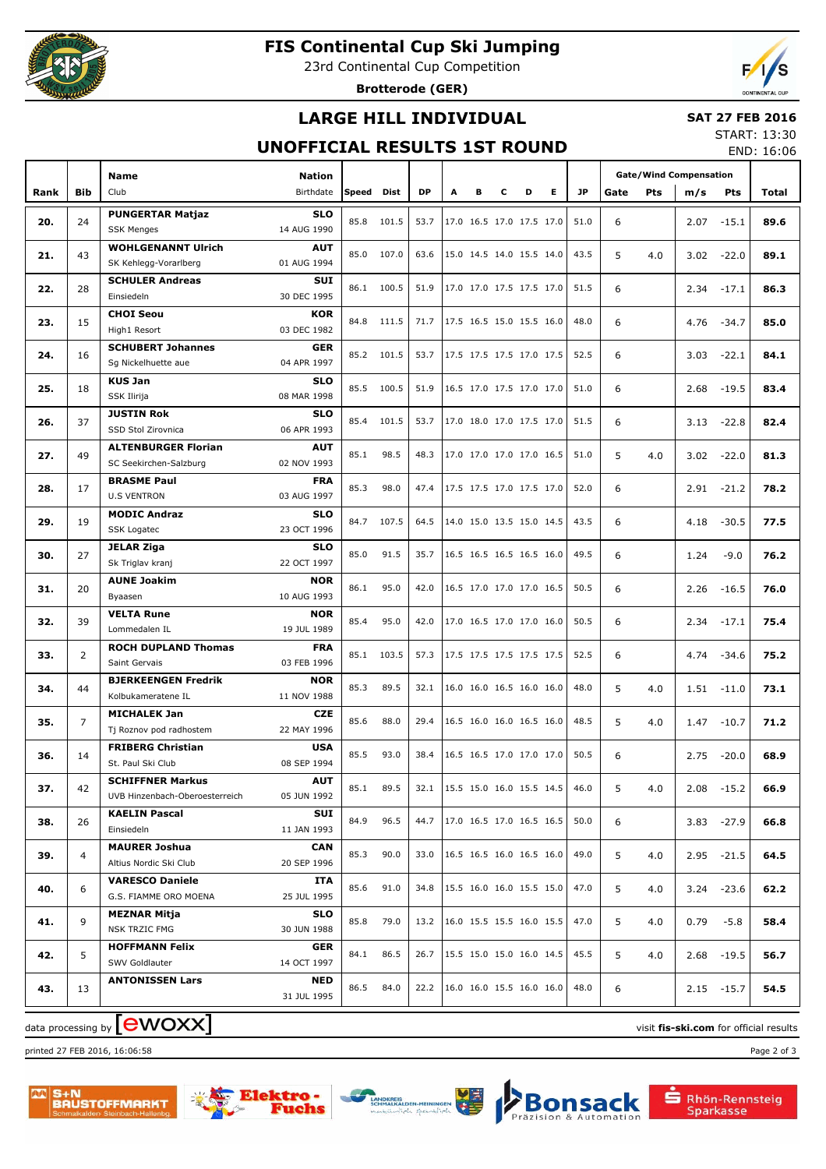

# **FIS Continental Cup Ski Jumping**

23rd Continental Cup Competition

**Brotterode (GER)**



## **LARGE HILL INDIVIDUAL**

#### **SAT 27 FEB 2016**

### **UNOFFICIAL RESULTS 1ST ROUND**

START: 13:30 END: 16:06

|      |                | <b>Name</b>                                 | Nation                    |       |              |                                 |   |   |                          |                                                      |                          |              | <b>Gate/Wind Compensation</b> |     |      |               |       |
|------|----------------|---------------------------------------------|---------------------------|-------|--------------|---------------------------------|---|---|--------------------------|------------------------------------------------------|--------------------------|--------------|-------------------------------|-----|------|---------------|-------|
| Rank | Bib            | Club                                        | Birthdate                 | Speed | Dist         | <b>DP</b>                       | A | в | с                        | D                                                    | Е                        | <b>JP</b>    | Gate                          | Pts | m/s  | <b>Pts</b>    | Total |
|      |                |                                             |                           |       |              |                                 |   |   |                          |                                                      |                          |              |                               |     |      |               |       |
| 20.  | 24             | <b>PUNGERTAR Matjaz</b>                     | <b>SLO</b>                | 85.8  | 101.5        | 53.7                            |   |   |                          |                                                      | 17.0 16.5 17.0 17.5 17.0 | 51.0         | 6                             |     | 2.07 | $-15.1$       | 89.6  |
|      |                | <b>SSK Menges</b>                           | 14 AUG 1990               |       |              |                                 |   |   |                          |                                                      |                          |              |                               |     |      |               |       |
| 21.  | 43             | <b>WOHLGENANNT Ulrich</b>                   | <b>AUT</b>                | 85.0  | 107.0        | 63.6                            |   |   | 15.0 14.5 14.0 15.5 14.0 |                                                      |                          | 43.5         | 5                             | 4.0 | 3.02 | $-22.0$       | 89.1  |
|      |                | SK Kehlegg-Vorarlberg                       | 01 AUG 1994               |       |              |                                 |   |   |                          |                                                      |                          |              |                               |     |      |               |       |
| 22.  | 28             | <b>SCHULER Andreas</b><br>Einsiedeln        | SUI<br>30 DEC 1995        |       | 86.1 100.5   | 51.9                            |   |   | 17.0 17.0 17.5 17.5 17.0 |                                                      |                          | 51.5         | 6                             |     | 2.34 | $-17.1$       | 86.3  |
|      |                | <b>CHOI Seou</b>                            | <b>KOR</b>                |       |              |                                 |   |   |                          |                                                      |                          |              |                               |     |      |               |       |
| 23.  | 15             | High1 Resort                                | 03 DEC 1982               | 84.8  | 111.5        | 71.7                            |   |   | 17.5 16.5 15.0 15.5 16.0 |                                                      |                          | 48.0         | 6                             |     | 4.76 | $-34.7$       | 85.0  |
|      |                | <b>SCHUBERT Johannes</b>                    | <b>GER</b>                |       |              |                                 |   |   |                          |                                                      |                          |              |                               |     |      |               |       |
| 24.  | 16             | Sg Nickelhuette aue                         | 04 APR 1997               |       | 85.2 101.5   | 53.7                            |   |   |                          |                                                      | 17.5 17.5 17.5 17.0 17.5 | 52.5         | 6                             |     | 3.03 | $-22.1$       | 84.1  |
|      |                | <b>KUS Jan</b>                              | <b>SLO</b>                |       |              |                                 |   |   |                          |                                                      |                          |              |                               |     |      |               |       |
| 25.  | 18             | SSK Ilirija                                 | 08 MAR 1998               | 85.5  | 100.5        | 51.9                            |   |   |                          |                                                      | 16.5 17.0 17.5 17.0 17.0 | 51.0         | 6                             |     | 2.68 | $-19.5$       | 83.4  |
|      |                | <b>JUSTIN Rok</b>                           | <b>SLO</b>                |       |              |                                 |   |   |                          |                                                      |                          |              |                               |     |      |               |       |
| 26.  | 37             | SSD Stol Zirovnica                          | 06 APR 1993               | 85.4  | 101.5        | 53.7                            |   |   | 17.0 18.0 17.0 17.5 17.0 |                                                      |                          | 51.5         | 6                             |     | 3.13 | $-22.8$       | 82.4  |
|      |                | <b>ALTENBURGER Florian</b>                  | <b>AUT</b>                |       |              |                                 |   |   |                          |                                                      |                          |              |                               |     |      |               |       |
| 27.  | 49             | SC Seekirchen-Salzburg                      | 02 NOV 1993               | 85.1  | 98.5         | 48.3                            |   |   | 17.0 17.0 17.0 17.0 16.5 |                                                      |                          | 51.0         | 5                             | 4.0 | 3.02 | $-22.0$       | 81.3  |
| 28.  | 17             | <b>BRASME Paul</b>                          | <b>FRA</b>                | 85.3  | 98.0         | 47.4                            |   |   | 17.5 17.5 17.0 17.5 17.0 |                                                      |                          | 52.0         | 6                             |     | 2.91 | $-21.2$       | 78.2  |
|      |                | <b>U.S VENTRON</b>                          | 03 AUG 1997               |       |              |                                 |   |   |                          |                                                      |                          |              |                               |     |      |               |       |
| 29.  | 19             | <b>MODIC Andraz</b>                         | <b>SLO</b>                | 84.7  | 107.5        | 64.5                            |   |   | 14.0 15.0 13.5 15.0 14.5 |                                                      |                          | 43.5         | 6                             |     | 4.18 | $-30.5$       | 77.5  |
|      |                | <b>SSK Logatec</b>                          | 23 OCT 1996               |       |              |                                 |   |   |                          |                                                      |                          |              |                               |     |      |               |       |
| 30.  | 27             | <b>JELAR Ziga</b>                           | <b>SLO</b>                | 85.0  | 91.5         | 35.7                            |   |   | 16.5 16.5 16.5 16.5 16.0 |                                                      |                          | 49.5         | 6                             |     | 1.24 | $-9.0$        | 76.2  |
|      |                | Sk Triglav kranj                            | 22 OCT 1997               |       |              |                                 |   |   |                          |                                                      |                          |              |                               |     |      |               |       |
| 31.  | 20             | <b>AUNE Joakim</b>                          | <b>NOR</b>                | 86.1  | 95.0<br>95.0 | 42.0                            |   |   | 16.5 17.0 17.0 17.0 16.5 |                                                      |                          | 50.5         | 6                             |     | 2.26 | $-16.5$       | 76.0  |
|      |                | Byaasen                                     | 10 AUG 1993               |       |              |                                 |   |   |                          |                                                      |                          |              |                               |     |      |               |       |
| 32.  | 39             | <b>VELTA Rune</b>                           | <b>NOR</b>                | 85.4  |              | 42.0                            |   |   | 17.0 16.5 17.0 17.0 16.0 |                                                      |                          | 50.5         | 6                             |     | 2.34 | $-17.1$       | 75.4  |
|      |                | Lommedalen IL<br><b>ROCH DUPLAND Thomas</b> | 19 JUL 1989<br><b>FRA</b> |       |              |                                 |   |   |                          |                                                      |                          |              |                               |     |      |               |       |
| 33.  | $\overline{2}$ | Saint Gervais                               | 03 FEB 1996               | 85.1  | 103.5        | 57.3<br>32.1                    |   |   |                          | 17.5 17.5 17.5 17.5 17.5<br>16.0 16.0 16.5 16.0 16.0 |                          | 52.5<br>48.0 | 6                             | 4.0 | 4.74 | $-34.6$       | 75.2  |
|      |                | <b>BJERKEENGEN Fredrik</b>                  | <b>NOR</b>                |       |              |                                 |   |   |                          |                                                      |                          |              |                               |     |      |               |       |
| 34.  | 44             | Kolbukameratene IL                          | 11 NOV 1988               | 85.3  | 89.5         |                                 |   |   |                          |                                                      |                          |              | 5                             |     | 1.51 | $-11.0$       | 73.1  |
|      |                | <b>MICHALEK Jan</b>                         |                           |       |              |                                 |   |   |                          |                                                      |                          |              |                               |     |      |               |       |
| 35.  | $\overline{7}$ | Tj Roznov pod radhostem                     | 22 MAY 1996               | 85.6  | 88.0         | 29.4                            |   |   | 16.5 16.0 16.0 16.5 16.0 |                                                      |                          | 48.5         | 5                             | 4.0 | 1.47 | $-10.7$       | 71.2  |
|      |                | <b>FRIBERG Christian</b>                    | <b>USA</b>                |       |              |                                 |   |   |                          |                                                      |                          |              |                               |     |      |               |       |
| 36.  | 14             | St. Paul Ski Club                           | 08 SEP 1994               | 85.5  | 93.0         | 38.4                            |   |   | 16.5 16.5 17.0 17.0 17.0 |                                                      |                          | 50.5         | 6                             |     | 2.75 | $-20.0$       | 68.9  |
|      |                | <b>SCHIFFNER Markus</b>                     | <b>AUT</b>                | 85.1  | 89.5         |                                 |   |   |                          |                                                      |                          |              |                               |     |      |               |       |
| 37.  | 42             | UVB Hinzenbach-Oberoesterreich              | 05 JUN 1992               |       |              | 32.1                            |   |   | 15.5 15.0 16.0 15.5 14.5 |                                                      |                          | 46.0         | 5                             | 4.0 |      | $2.08 - 15.2$ | 66.9  |
| 38.  | 26             | <b>KAELIN Pascal</b>                        | SUI                       | 84.9  | 96.5         | 44.7                            |   |   | 17.0 16.5 17.0 16.5 16.5 |                                                      |                          | 50.0         | 6                             |     |      | $3.83 - 27.9$ | 66.8  |
|      |                | Einsiedeln                                  | 11 JAN 1993               |       |              |                                 |   |   |                          |                                                      |                          |              |                               |     |      |               |       |
| 39.  | 4              | <b>MAURER Joshua</b>                        | <b>CAN</b>                | 85.3  | 90.0         | 33.0                            |   |   | 16.5 16.5 16.0 16.5 16.0 |                                                      |                          | 49.0         | 5                             | 4.0 |      | $2.95 - 21.5$ | 64.5  |
|      |                | Altius Nordic Ski Club                      | 20 SEP 1996               |       |              |                                 |   |   |                          |                                                      |                          |              |                               |     |      |               |       |
| 40.  | 6              | <b>VARESCO Daniele</b>                      | <b>ITA</b>                | 85.6  | 91.0         | 34.8                            |   |   | 15.5 16.0 16.0 15.5 15.0 |                                                      |                          | 47.0         | 5                             | 4.0 |      | $3.24 -23.6$  | 62.2  |
|      |                | G.S. FIAMME ORO MOENA                       | 25 JUL 1995               |       |              |                                 |   |   |                          |                                                      |                          |              |                               |     |      |               |       |
| 41.  | 9              | <b>MEZNAR Mitja</b>                         | <b>SLO</b>                | 85.8  | 79.0         | 13.2                            |   |   |                          |                                                      | 16.0 15.5 15.5 16.0 15.5 | 47.0         | 5                             | 4.0 | 0.79 | $-5.8$        | 58.4  |
|      |                | NSK TRZIC FMG                               | 30 JUN 1988               |       |              |                                 |   |   |                          |                                                      |                          |              |                               |     |      |               |       |
| 42.  | 5              | <b>HOFFMANN Felix</b><br>SWV Goldlauter     | <b>GER</b><br>14 OCT 1997 |       | 84.1 86.5    | 26.7                            |   |   | 15.5 15.0 15.0 16.0 14.5 |                                                      |                          | 45.5         | 5                             | 4.0 |      | $2.68 - 19.5$ | 56.7  |
|      |                | <b>ANTONISSEN Lars</b>                      | NED                       |       |              |                                 |   |   |                          |                                                      |                          |              |                               |     |      |               |       |
| 43.  | 13             |                                             | 31 JUL 1995               |       | 86.5 84.0    | 22.2   16.0 16.0 15.5 16.0 16.0 |   |   |                          |                                                      |                          | 48.0         | 6                             |     |      | $2.15 - 15.7$ | 54.5  |
|      |                |                                             |                           |       |              |                                 |   |   |                          |                                                      |                          |              |                               |     |      |               |       |

 $\alpha$  data processing by  $\boxed{\text{ewOX}}$ 

printed 27 FEB 2016, 16:06:58 Page 2 of 3









Rhön-Rennsteig<br>Sparkasse

sack